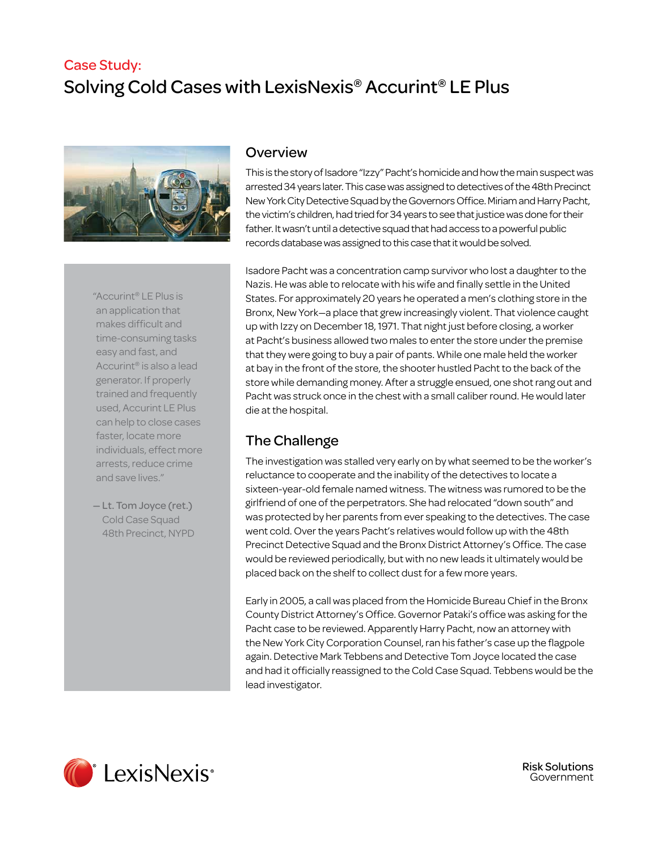# Case Study: Solving Cold Cases with LexisNexis® Accurint® LE Plus



"Accurint® LE Plus is an application that makes difficult and time-consuming tasks easy and fast, and Accurint® is also a lead generator. If properly trained and frequently used, Accurint LE Plus can help to close cases faster, locate more individuals, effect more arrests, reduce crime and save lives."

— Lt. Tom Joyce (ret.) Cold Case Squad 48th Precinct, NYPD

#### **Overview**

This is the story of Isadore "Izzy" Pacht's homicide and how the main suspect was arrested 34 years later. This case was assigned to detectives of the 48th Precinct New York City Detective Squad by the Governors Office. Miriam and Harry Pacht, the victim's children, had tried for 34 years to see that justice was done for their father. It wasn't until a detective squad that had access to a powerful public records database was assigned to this case that it would be solved.

Isadore Pacht was a concentration camp survivor who lost a daughter to the Nazis. He was able to relocate with his wife and finally settle in the United States. For approximately 20 years he operated a men's clothing store in the Bronx, New York—a place that grew increasingly violent. That violence caught up with Izzy on December 18, 1971. That night just before closing, a worker at Pacht's business allowed two males to enter the store under the premise that they were going to buy a pair of pants. While one male held the worker at bay in the front of the store, the shooter hustled Pacht to the back of the store while demanding money. After a struggle ensued, one shot rang out and Pacht was struck once in the chest with a small caliber round. He would later die at the hospital.

## The Challenge

The investigation was stalled very early on by what seemed to be the worker's reluctance to cooperate and the inability of the detectives to locate a sixteen-year-old female named witness. The witness was rumored to be the girlfriend of one of the perpetrators. She had relocated "down south" and was protected by her parents from ever speaking to the detectives. The case went cold. Over the years Pacht's relatives would follow up with the 48th Precinct Detective Squad and the Bronx District Attorney's Office. The case would be reviewed periodically, but with no new leads it ultimately would be placed back on the shelf to collect dust for a few more years.

Early in 2005, a call was placed from the Homicide Bureau Chief in the Bronx County District Attorney's Office. Governor Pataki's office was asking for the Pacht case to be reviewed. Apparently Harry Pacht, now an attorney with the New York City Corporation Counsel, ran his father's case up the flagpole again. Detective Mark Tebbens and Detective Tom Joyce located the case and had it officially reassigned to the Cold Case Squad. Tebbens would be the lead investigator.



Risk Solutions Government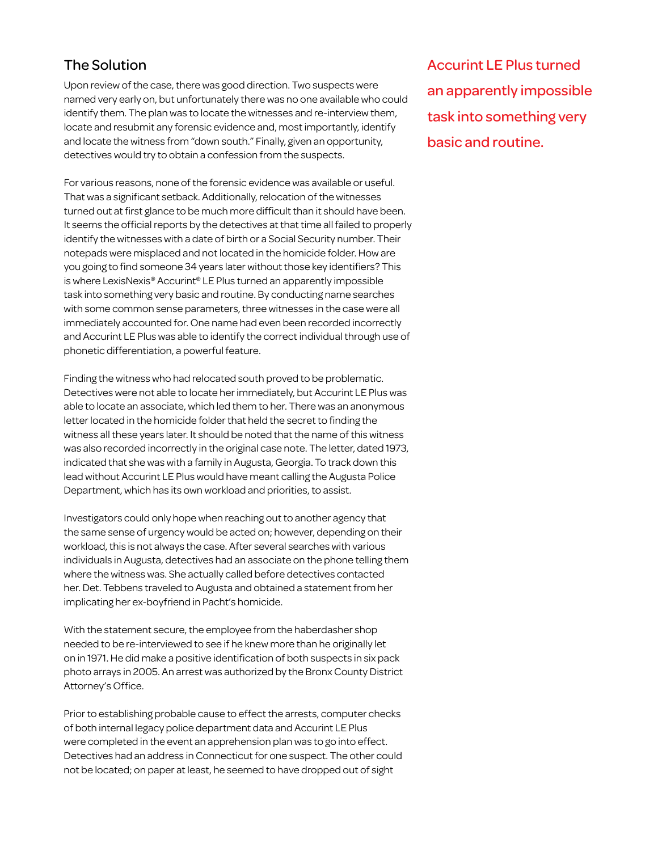## The Solution

Upon review of the case, there was good direction. Two suspects were named very early on, but unfortunately there was no one available who could identify them. The plan was to locate the witnesses and re-interview them, locate and resubmit any forensic evidence and, most importantly, identify and locate the witness from "down south." Finally, given an opportunity, detectives would try to obtain a confession from the suspects.

For various reasons, none of the forensic evidence was available or useful. That was a significant setback. Additionally, relocation of the witnesses turned out at first glance to be much more difficult than it should have been. It seems the official reports by the detectives at that time all failed to properly identify the witnesses with a date of birth or a Social Security number. Their notepads were misplaced and not located in the homicide folder. How are you going to find someone 34 years later without those key identifiers? This is where LexisNexis® Accurint® LE Plus turned an apparently impossible task into something very basic and routine. By conducting name searches with some common sense parameters, three witnesses in the case were all immediately accounted for. One name had even been recorded incorrectly and Accurint LE Plus was able to identify the correct individual through use of phonetic differentiation, a powerful feature.

Finding the witness who had relocated south proved to be problematic. Detectives were not able to locate her immediately, but Accurint LE Plus was able to locate an associate, which led them to her. There was an anonymous letter located in the homicide folder that held the secret to finding the witness all these years later. It should be noted that the name of this witness was also recorded incorrectly in the original case note. The letter, dated 1973, indicated that she was with a family in Augusta, Georgia. To track down this lead without Accurint LE Plus would have meant calling the Augusta Police Department, which has its own workload and priorities, to assist.

Investigators could only hope when reaching out to another agency that the same sense of urgency would be acted on; however, depending on their workload, this is not always the case. After several searches with various individuals in Augusta, detectives had an associate on the phone telling them where the witness was. She actually called before detectives contacted her. Det. Tebbens traveled to Augusta and obtained a statement from her implicating her ex-boyfriend in Pacht's homicide.

With the statement secure, the employee from the haberdasher shop needed to be re-interviewed to see if he knew more than he originally let on in 1971. He did make a positive identification of both suspects in six pack photo arrays in 2005. An arrest was authorized by the Bronx County District Attorney's Office.

Prior to establishing probable cause to effect the arrests, computer checks of both internal legacy police department data and Accurint LE Plus were completed in the event an apprehension plan was to go into effect. Detectives had an address in Connecticut for one suspect. The other could not be located; on paper at least, he seemed to have dropped out of sight

Accurint LE Plus turned an apparently impossible task into something very basic and routine.